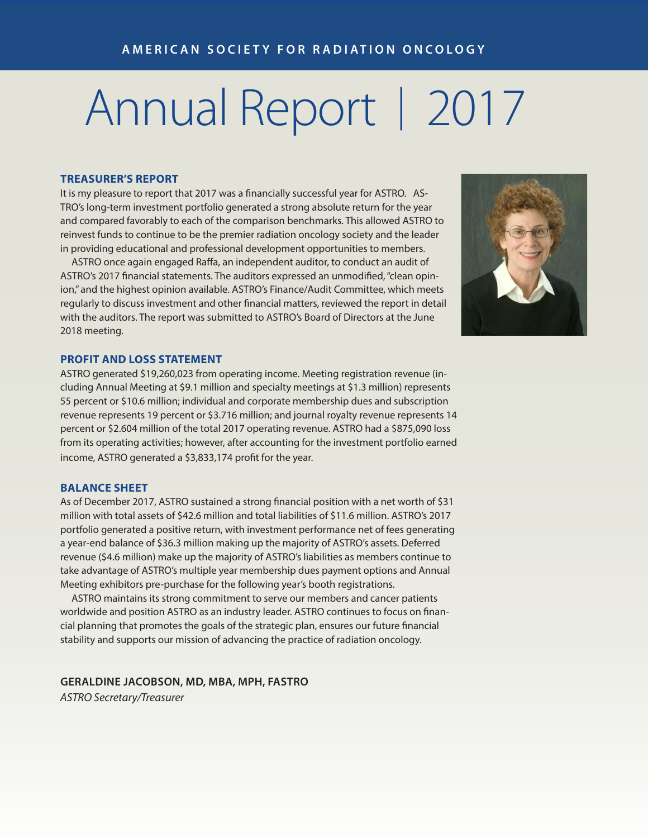# Annual Report | 2017

### **TREASURER'S REPORT**

It is my pleasure to report that 2017 was a financially successful year for ASTRO. AS-TRO's long-term investment portfolio generated a strong absolute return for the year and compared favorably to each of the comparison benchmarks. This allowed ASTRO to reinvest funds to continue to be the premier radiation oncology society and the leader in providing educational and professional development opportunities to members.

 ASTRO once again engaged Raffa, an independent auditor, to conduct an audit of ASTRO's 2017 financial statements. The auditors expressed an unmodified, "clean opinion," and the highest opinion available. ASTRO's Finance/Audit Committee, which meets regularly to discuss investment and other financial matters, reviewed the report in detail with the auditors. The report was submitted to ASTRO's Board of Directors at the June 2018 meeting.



#### **PROFIT AND LOSS STATEMENT**

ASTRO generated \$19,260,023 from operating income. Meeting registration revenue (including Annual Meeting at \$9.1 million and specialty meetings at \$1.3 million) represents 55 percent or \$10.6 million; individual and corporate membership dues and subscription revenue represents 19 percent or \$3.716 million; and journal royalty revenue represents 14 percent or \$2.604 million of the total 2017 operating revenue. ASTRO had a \$875,090 loss from its operating activities; however, after accounting for the investment portfolio earned income, ASTRO generated a \$3,833,174 profit for the year.

## **BALANCE SHEET**

As of December 2017, ASTRO sustained a strong financial position with a net worth of \$31 million with total assets of \$42.6 million and total liabilities of \$11.6 million. ASTRO's 2017 portfolio generated a positive return, with investment performance net of fees generating a year-end balance of \$36.3 million making up the majority of ASTRO's assets. Deferred revenue (\$4.6 million) make up the majority of ASTRO's liabilities as members continue to take advantage of ASTRO's multiple year membership dues payment options and Annual Meeting exhibitors pre-purchase for the following year's booth registrations.

 ASTRO maintains its strong commitment to serve our members and cancer patients worldwide and position ASTRO as an industry leader. ASTRO continues to focus on financial planning that promotes the goals of the strategic plan, ensures our future financial stability and supports our mission of advancing the practice of radiation oncology.

**GERALDINE JACOBSON, MD, MBA, MPH, FASTRO** *ASTRO Secretary/Treasurer*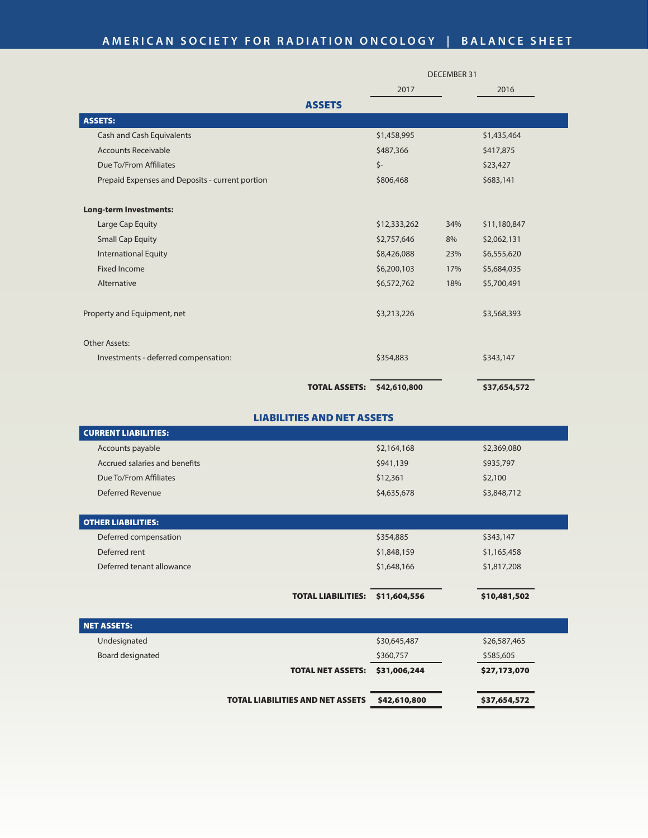## **AMERICAN SOCIETY FOR RADIATION ONCOLOGY | BALANCE SHEET**

|                                                 |                     | <b>DECEMBER 31</b> |  |  |
|-------------------------------------------------|---------------------|--------------------|--|--|
|                                                 | 2017                | 2016               |  |  |
| <b>ASSETS</b>                                   |                     |                    |  |  |
| <b>ASSETS:</b>                                  |                     |                    |  |  |
| Cash and Cash Equivalents                       | \$1,458,995         | \$1,435,464        |  |  |
| <b>Accounts Receivable</b>                      | \$487,366           | \$417,875          |  |  |
| Due To/From Affiliates                          | $\zeta$ -           | \$23,427           |  |  |
| Prepaid Expenses and Deposits - current portion | \$806,468           | \$683,141          |  |  |
| <b>Long-term Investments:</b>                   |                     |                    |  |  |
| Large Cap Equity                                | \$12,333,262<br>34% | \$11,180,847       |  |  |
| <b>Small Cap Equity</b>                         | \$2,757,646<br>8%   | \$2,062,131        |  |  |
| <b>International Equity</b>                     | \$8,426,088<br>23%  | \$6,555,620        |  |  |
| <b>Fixed Income</b>                             | \$6,200,103<br>17%  | \$5,684,035        |  |  |
| Alternative                                     | \$6,572,762<br>18%  | \$5,700,491        |  |  |
| Property and Equipment, net                     | \$3,213,226         | \$3,568,393        |  |  |
| Other Assets:                                   |                     |                    |  |  |
| Investments - deferred compensation:            | \$354,883           | \$343,147          |  |  |
| <b>TOTAL ASSETS:</b>                            | \$42,610,800        | \$37,654,572       |  |  |

## LIABILITIES AND NET ASSETS

| <b>CURRENT LIABILITIES:</b>   |                           |              |              |
|-------------------------------|---------------------------|--------------|--------------|
| Accounts payable              |                           | \$2,164,168  | \$2,369,080  |
| Accrued salaries and benefits |                           | \$941,139    | \$935,797    |
| Due To/From Affiliates        |                           | \$12,361     | \$2,100      |
| Deferred Revenue              |                           | \$4,635,678  | \$3,848,712  |
|                               |                           |              |              |
| <b>OTHER LIABILITIES:</b>     |                           |              |              |
| Deferred compensation         |                           | \$354,885    | \$343,147    |
| Deferred rent                 |                           | \$1,848,159  | \$1,165,458  |
| Deferred tenant allowance     |                           | \$1,648,166  | \$1,817,208  |
|                               |                           |              |              |
|                               | <b>TOTAL LIABILITIES:</b> | \$11,604,556 | \$10,481,502 |
|                               |                           |              |              |

| NET ASSETS:      |                                         |              |              |
|------------------|-----------------------------------------|--------------|--------------|
| Undesignated     |                                         | \$30,645,487 | \$26,587,465 |
| Board designated |                                         | \$360,757    | \$585,605    |
|                  | <b>TOTAL NET ASSETS:</b>                | \$31,006,244 | \$27,173,070 |
|                  |                                         |              |              |
|                  | <b>TOTAL LIABILITIES AND NET ASSETS</b> | \$42,610,800 | \$37,654,572 |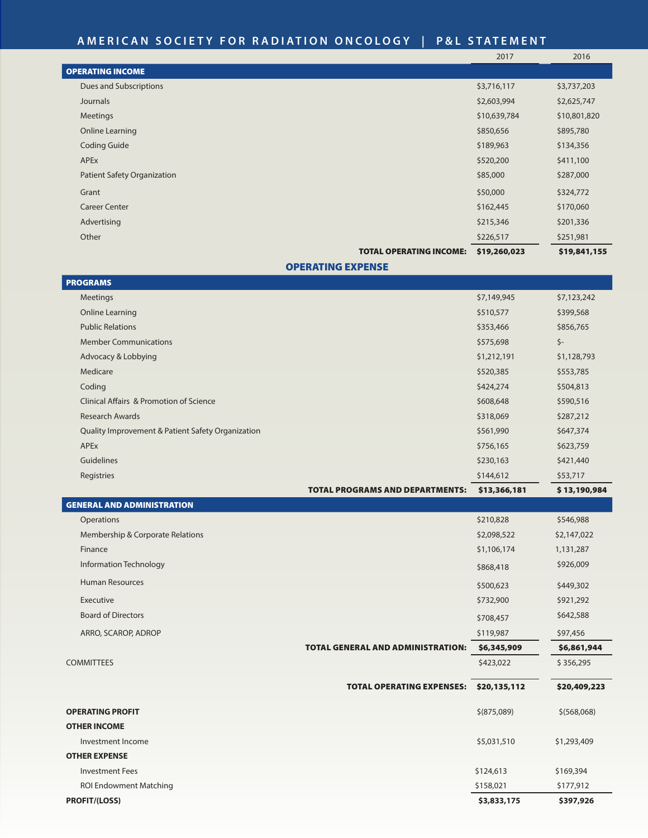## **AMERICAN SOCIETY FOR RADIATION ONCOLOGY | BALANCE SHEET AMERICAN SOCIETY FOR RADIATION ONCOLOGY | P&L STATEMENT**

|                                    |                                | 2017         | 2016         |
|------------------------------------|--------------------------------|--------------|--------------|
| <b>OPERATING INCOME</b>            |                                |              |              |
| Dues and Subscriptions             |                                | \$3,716,117  | \$3,737,203  |
| Journals                           |                                | \$2,603,994  | \$2,625,747  |
| Meetings                           |                                | \$10,639,784 | \$10,801,820 |
| Online Learning                    |                                | \$850,656    | \$895,780    |
| <b>Coding Guide</b>                |                                | \$189,963    | \$134,356    |
| <b>APEx</b>                        |                                | \$520,200    | \$411,100    |
| <b>Patient Safety Organization</b> |                                | \$85,000     | \$287,000    |
| Grant                              |                                | \$50,000     | \$324,772    |
| <b>Career Center</b>               |                                | \$162,445    | \$170,060    |
| Advertising                        |                                | \$215,346    | \$201,336    |
| Other                              |                                | \$226,517    | \$251,981    |
|                                    | <b>TOTAL OPERATING INCOME:</b> | \$19,260,023 | \$19,841,155 |

## OPERATING EXPENSE

| <b>PROGRAMS</b>                                    |                                        |              |              |
|----------------------------------------------------|----------------------------------------|--------------|--------------|
| <b>Meetings</b>                                    |                                        | \$7,149,945  | \$7,123,242  |
| Online Learning                                    |                                        | \$510,577    | \$399,568    |
| <b>Public Relations</b>                            |                                        | \$353,466    | \$856,765    |
| <b>Member Communications</b>                       |                                        | \$575,698    | $\zeta$ -    |
| Advocacy & Lobbying                                |                                        | \$1,212,191  | \$1,128,793  |
| Medicare                                           |                                        | \$520,385    | \$553,785    |
| Coding                                             |                                        | \$424,274    | \$504,813    |
| <b>Clinical Affairs &amp; Promotion of Science</b> |                                        | \$608,648    | \$590,516    |
| <b>Research Awards</b>                             |                                        | \$318,069    | \$287,212    |
| Quality Improvement & Patient Safety Organization  |                                        | \$561,990    | \$647,374    |
| APEx                                               |                                        | \$756,165    | \$623,759    |
| Guidelines                                         |                                        | \$230,163    | \$421,440    |
| Registries                                         |                                        | \$144,612    | \$53,717     |
|                                                    | <b>TOTAL PROGRAMS AND DEPARTMENTS:</b> | \$13,366,181 | \$13,190,984 |

| <b>GENERAL AND ADMINISTRATION</b> |                                          |              |              |
|-----------------------------------|------------------------------------------|--------------|--------------|
| Operations                        |                                          | \$210,828    | \$546,988    |
| Membership & Corporate Relations  |                                          | \$2,098,522  | \$2,147,022  |
| Finance                           |                                          | \$1,106,174  | 1,131,287    |
| Information Technology            |                                          | \$868,418    | \$926,009    |
| <b>Human Resources</b>            |                                          | \$500,623    | \$449,302    |
| Executive                         |                                          | \$732,900    | \$921,292    |
| <b>Board of Directors</b>         |                                          | \$708,457    | \$642,588    |
| ARRO, SCAROP, ADROP               |                                          | \$119,987    | \$97,456     |
|                                   | <b>TOTAL GENERAL AND ADMINISTRATION:</b> | \$6,345,909  | \$6,861,944  |
| <b>COMMITTEES</b>                 |                                          | \$423,022    | \$356,295    |
|                                   | <b>TOTAL OPERATING EXPENSES:</b>         | \$20,135,112 | \$20,409,223 |
| <b>OPERATING PROFIT</b>           |                                          | \$ (875,089) | \$ (568,068) |
| <b>OTHER INCOME</b>               |                                          |              |              |
| Investment Income                 |                                          | \$5,031,510  | \$1,293,409  |
| <b>OTHER EXPENSE</b>              |                                          |              |              |
| <b>Investment Fees</b>            |                                          | \$124,613    | \$169,394    |
| <b>ROI Endowment Matching</b>     |                                          | \$158,021    | \$177,912    |
| <b>PROFIT/(LOSS)</b>              |                                          | \$3,833,175  | \$397,926    |